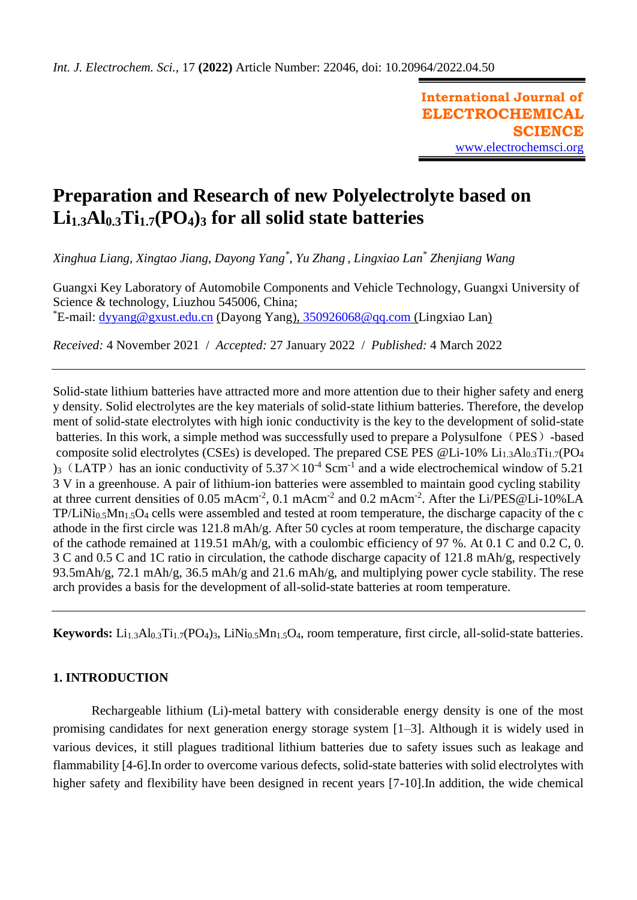**International Journal of ELECTROCHEMICAL SCIENCE** [www.electrochemsci.org](http://www.electrochemsci.org/)

# **Preparation and Research of new Polyelectrolyte based on Li1.3Al0.3Ti1.7(PO4)<sup>3</sup> for all solid state batteries**

*Xinghua Liang, Xingtao Jiang, Dayong Yang\* , Yu Zhang , Lingxiao Lan\* Zhenjiang Wang*

Guangxi Key Laboratory of Automobile Components and Vehicle Technology, Guangxi University of Science & technology, Liuzhou 545006, China; \*E-mail: [dyyang@gxust.edu.cn](mailto:dyyang@gxust.edu.cn) (Dayong Yang), [350926068@qq.com](mailto:350926068@qq.com) (Lingxiao Lan)

*Received:* 4 November 2021/ *Accepted:* 27 January 2022 / *Published:* 4 March 2022

Solid-state lithium batteries have attracted more and more attention due to their higher safety and energ y density. Solid electrolytes are the key materials of solid-state lithium batteries. Therefore, the develop ment of solid-state electrolytes with high ionic conductivity is the key to the development of solid-state batteries. In this work, a simple method was successfully used to prepare a Polysulfone (PES) -based composite solid electrolytes (CSEs) is developed. The prepared CSE PES  $@Li-10\%$   $Li<sub>1.3</sub>Al<sub>0.3</sub>Ti<sub>1.7</sub>(PO<sub>4</sub>)$  $_3$  (LATP) has an ionic conductivity of  $5.37 \times 10^{-4}$  Scm<sup>-1</sup> and a wide electrochemical window of 5.21 3 V in a greenhouse. A pair of lithium-ion batteries were assembled to maintain good cycling stability at three current densities of 0.05 mAcm<sup>-2</sup>, 0.1 mAcm<sup>-2</sup> and 0.2 mAcm<sup>-2</sup>. After the Li/PES@Li-10%LA  $TP/LiNi<sub>0.5</sub>Mn<sub>1.5</sub>O<sub>4</sub>$  cells were assembled and tested at room temperature, the discharge capacity of the c athode in the first circle was 121.8 mAh/g. After 50 cycles at room temperature, the discharge capacity of the cathode remained at 119.51 mAh/g, with a coulombic efficiency of 97 %. At 0.1 C and 0.2 C, 0. 3 C and 0.5 C and 1C ratio in circulation, the cathode discharge capacity of 121.8 mAh/g, respectively 93.5mAh/g, 72.1 mAh/g, 36.5 mAh/g and 21.6 mAh/g, and multiplying power cycle stability. The rese arch provides a basis for the development of all-solid-state batteries at room temperature.

**Keywords:** Li<sub>1.3</sub>Al<sub>0.3</sub>Ti<sub>1.7</sub>(PO<sub>4</sub>)<sub>3</sub>, LiNi<sub>0.5</sub>Mn<sub>1.5</sub>O<sub>4</sub>, room temperature, first circle, all-solid-state batteries.

# **1. INTRODUCTION**

Rechargeable lithium (Li)-metal battery with considerable energy density is one of the most promising candidates for next generation energy storage system [1–3]. Although it is widely used in various devices, it still plagues traditional lithium batteries due to safety issues such as leakage and flammability [4-6].In order to overcome various defects, solid-state batteries with solid electrolytes with higher safety and flexibility have been designed in recent years [7-10].In addition, the wide chemical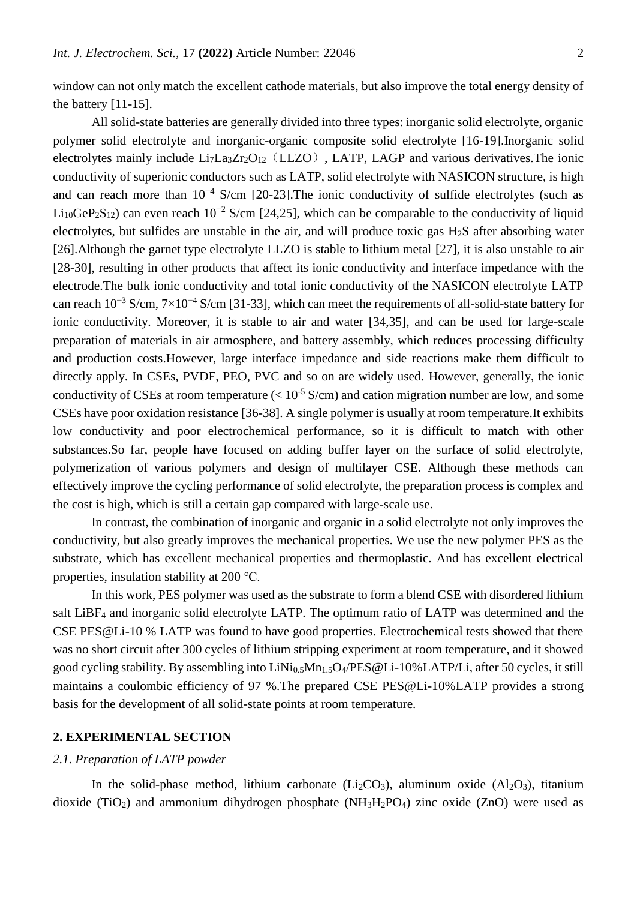window can not only match the excellent cathode materials, but also improve the total energy density of the battery [11-15].

All solid-state batteries are generally divided into three types: inorganic solid electrolyte, organic polymer solid electrolyte and inorganic-organic composite solid electrolyte [16-19].Inorganic solid electrolytes mainly include  $Li<sub>7</sub>La<sub>3</sub>Zr<sub>2</sub>O<sub>12</sub>$  (LLZO), LATP, LAGP and various derivatives. The ionic conductivity of superionic conductors such as LATP, solid electrolyte with NASICON structure, is high and can reach more than 10−4 S/cm [20-23].The ionic conductivity of sulfide electrolytes (such as Li<sub>10</sub>GeP<sub>2</sub>S<sub>12</sub>) can even reach 10<sup>-2</sup> S/cm [24,25], which can be comparable to the conductivity of liquid electrolytes, but sulfides are unstable in the air, and will produce toxic gas H2S after absorbing water [26].Although the garnet type electrolyte LLZO is stable to lithium metal [27], it is also unstable to air [28-30], resulting in other products that affect its ionic conductivity and interface impedance with the electrode.The bulk ionic conductivity and total ionic conductivity of the NASICON electrolyte LATP can reach  $10^{-3}$  S/cm,  $7\times10^{-4}$  S/cm [31-33], which can meet the requirements of all-solid-state battery for ionic conductivity. Moreover, it is stable to air and water [34,35], and can be used for large-scale preparation of materials in air atmosphere, and battery assembly, which reduces processing difficulty and production costs.However, large interface impedance and side reactions make them difficult to directly apply. In CSEs, PVDF, PEO, PVC and so on are widely used. However, generally, the ionic conductivity of CSEs at room temperature  $(< 10^{-5}$  S/cm) and cation migration number are low, and some CSEs have poor oxidation resistance [36-38]. A single polymer is usually at room temperature.It exhibits low conductivity and poor electrochemical performance, so it is difficult to match with other substances.So far, people have focused on adding buffer layer on the surface of solid electrolyte, polymerization of various polymers and design of multilayer CSE. Although these methods can effectively improve the cycling performance of solid electrolyte, the preparation process is complex and the cost is high, which is still a certain gap compared with large-scale use.

In contrast, the combination of inorganic and organic in a solid electrolyte not only improves the conductivity, but also greatly improves the mechanical properties. We use the new polymer PES as the substrate, which has excellent mechanical properties and thermoplastic. And has excellent electrical properties, insulation stability at 200 ℃.

In this work, PES polymer was used as the substrate to form a blend CSE with disordered lithium salt LiBF<sup>4</sup> and inorganic solid electrolyte LATP. The optimum ratio of LATP was determined and the CSE PES@Li-10 % LATP was found to have good properties. Electrochemical tests showed that there was no short circuit after 300 cycles of lithium stripping experiment at room temperature, and it showed good cycling stability. By assembling into LiNi0.5Mn1.5O4/PES@Li-10%LATP/Li, after 50 cycles, it still maintains a coulombic efficiency of 97 %.The prepared CSE PES@Li-10%LATP provides a strong basis for the development of all solid-state points at room temperature.

## **2. EXPERIMENTAL SECTION**

## *2.1. Preparation of LATP powder*

In the solid-phase method, lithium carbonate  $(Li<sub>2</sub>CO<sub>3</sub>)$ , aluminum oxide  $(A1<sub>2</sub>O<sub>3</sub>)$ , titanium dioxide (TiO<sub>2</sub>) and ammonium dihydrogen phosphate (NH<sub>3</sub>H<sub>2</sub>PO<sub>4</sub>) zinc oxide (ZnO) were used as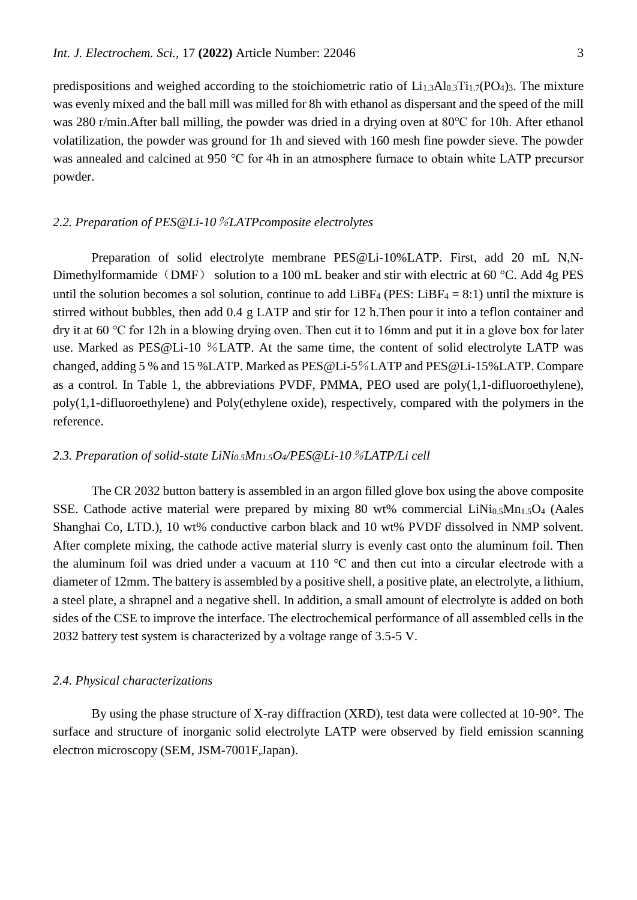predispositions and weighed according to the stoichiometric ratio of  $Li_{1,3}Al_{0,3}Ti_{1,7}(PO_4)$ <sub>3</sub>. The mixture was evenly mixed and the ball mill was milled for 8h with ethanol as dispersant and the speed of the mill was 280 r/min.After ball milling, the powder was dried in a drying oven at 80℃ for 10h. After ethanol volatilization, the powder was ground for 1h and sieved with 160 mesh fine powder sieve. The powder was annealed and calcined at 950 ℃ for 4h in an atmosphere furnace to obtain white LATP precursor powder.

## *2.2. Preparation of PES@Li-10*%*LATPcomposite electrolytes*

Preparation of solid electrolyte membrane PES@Li-10%LATP. First, add 20 mL N,N-Dimethylformamide (DMF) solution to a 100 mL beaker and stir with electric at 60 °C. Add 4g PES until the solution becomes a sol solution, continue to add LiBF<sub>4</sub> (PES: LiBF<sub>4</sub> = 8:1) until the mixture is stirred without bubbles, then add 0.4 g LATP and stir for 12 h.Then pour it into a teflon container and dry it at 60 ℃ for 12h in a blowing drying oven. Then cut it to 16mm and put it in a glove box for later use. Marked as PES@Li-10 %LATP. At the same time, the content of solid electrolyte LATP was changed, adding 5 % and 15 %LATP. Marked as PES@Li-5%LATP and PES@Li-15%LATP. Compare as a control. In Table 1, the abbreviations PVDF, PMMA, PEO used are poly(1,1-difluoroethylene), poly(1,1-difluoroethylene) and Poly(ethylene oxide), respectively, compared with the polymers in the reference.

## *2.3. Preparation of solid-state LiNi0.5Mn1.5O4/PES@Li-10*%*LATP/Li cell*

The CR 2032 button battery is assembled in an argon filled glove box using the above composite SSE. Cathode active material were prepared by mixing 80 wt% commercial  $LiNi<sub>0.5</sub>Mn<sub>1.5</sub>O<sub>4</sub>$  (Aales Shanghai Co, LTD.), 10 wt% conductive carbon black and 10 wt% PVDF dissolved in NMP solvent. After complete mixing, the cathode active material slurry is evenly cast onto the aluminum foil. Then the aluminum foil was dried under a vacuum at 110 ℃ and then cut into a circular electrode with a diameter of 12mm. The battery is assembled by a positive shell, a positive plate, an electrolyte, a lithium, a steel plate, a shrapnel and a negative shell. In addition, a small amount of electrolyte is added on both sides of the CSE to improve the interface. The electrochemical performance of all assembled cells in the 2032 battery test system is characterized by a voltage range of 3.5-5 V.

#### *2.4. Physical characterizations*

By using the phase structure of X-ray diffraction (XRD), test data were collected at 10-90°. The surface and structure of inorganic solid electrolyte LATP were observed by field emission scanning electron microscopy (SEM, JSM-7001F,Japan).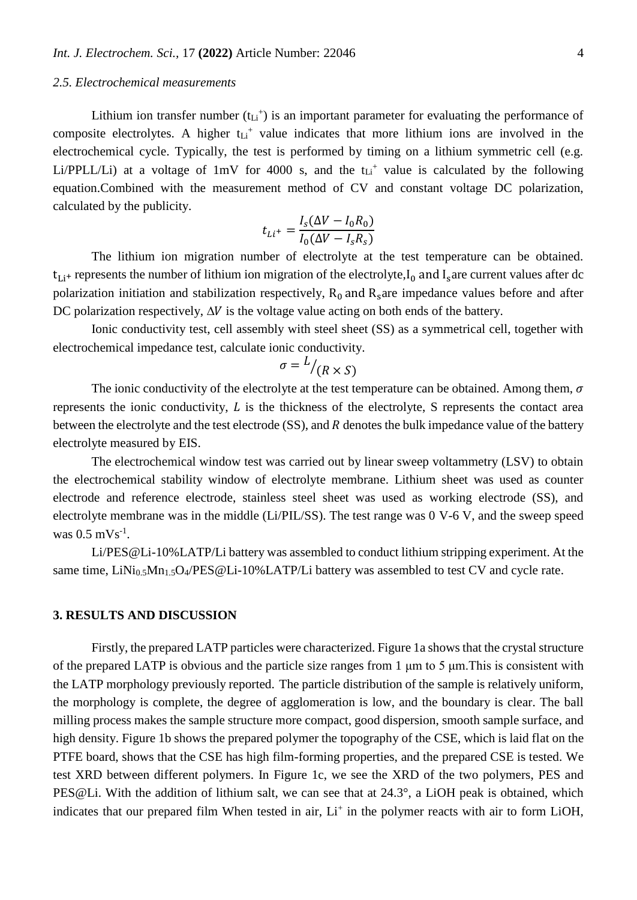#### *2.5. Electrochemical measurements*

Lithium ion transfer number  $(t_{Li}^+)$  is an important parameter for evaluating the performance of composite electrolytes. A higher  $t_{Li}$ <sup>+</sup> value indicates that more lithium ions are involved in the electrochemical cycle. Typically, the test is performed by timing on a lithium symmetric cell (e.g. Li/PPLL/Li) at a voltage of  $1mV$  for 4000 s, and the  $t_{Li}$ <sup>+</sup> value is calculated by the following equation.Combined with the measurement method of CV and constant voltage DC polarization, calculated by the publicity.

$$
t_{Li^+} = \frac{I_s(\Delta V - I_0 R_0)}{I_0(\Delta V - I_s R_s)}
$$

The lithium ion migration number of electrolyte at the test temperature can be obtained.  $t_{Li^+}$  represents the number of lithium ion migration of the electrolyte, $I_0$  and  $I_s$  are current values after dc polarization initiation and stabilization respectively,  $R_0$  and  $R_s$  are impedance values before and after DC polarization respectively,  $\Delta V$  is the voltage value acting on both ends of the battery.

Ionic conductivity test, cell assembly with steel sheet (SS) as a symmetrical cell, together with electrochemical impedance test, calculate ionic conductivity.

$$
\sigma = \frac{L}{(R \times S)}
$$

The ionic conductivity of the electrolyte at the test temperature can be obtained. Among them,  $\sigma$ represents the ionic conductivity,  $L$  is the thickness of the electrolyte,  $S$  represents the contact area between the electrolyte and the test electrode (SS), and R denotes the bulk impedance value of the battery electrolyte measured by EIS.

The electrochemical window test was carried out by linear sweep voltammetry (LSV) to obtain the electrochemical stability window of electrolyte membrane. Lithium sheet was used as counter electrode and reference electrode, stainless steel sheet was used as working electrode (SS), and electrolyte membrane was in the middle (Li/PIL/SS). The test range was 0 V-6 V, and the sweep speed was  $0.5 \text{ mVs}^{-1}$ .

Li/PES@Li-10%LATP/Li battery was assembled to conduct lithium stripping experiment. At the same time, LiNi<sub>0.5</sub>Mn<sub>1.5</sub>O<sub>4</sub>/PES@Li-10%LATP/Li battery was assembled to test CV and cycle rate.

#### **3. RESULTS AND DISCUSSION**

Firstly, the prepared LATP particles were characterized. Figure 1a shows that the crystal structure of the prepared LATP is obvious and the particle size ranges from 1 μm to 5 μm.This is consistent with the LATP morphology previously reported. The particle distribution of the sample is relatively uniform, the morphology is complete, the degree of agglomeration is low, and the boundary is clear. The ball milling process makes the sample structure more compact, good dispersion, smooth sample surface, and high density. Figure 1b shows the prepared polymer the topography of the CSE, which is laid flat on the PTFE board, shows that the CSE has high film-forming properties, and the prepared CSE is tested. We test XRD between different polymers. In Figure 1c, we see the XRD of the two polymers, PES and PES@Li. With the addition of lithium salt, we can see that at 24.3°, a LiOH peak is obtained, which indicates that our prepared film When tested in air, Li<sup>+</sup> in the polymer reacts with air to form LiOH,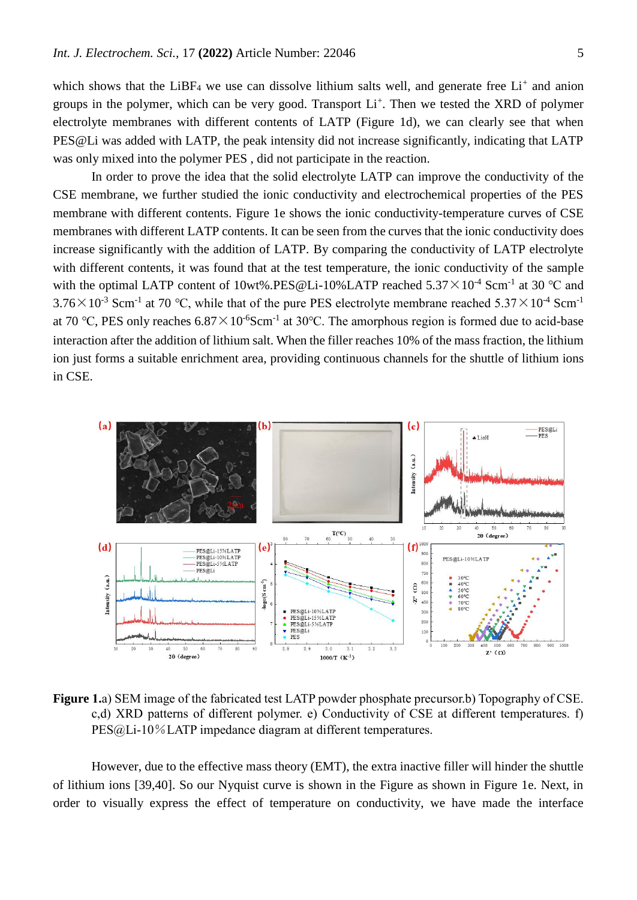which shows that the LiBF<sub>4</sub> we use can dissolve lithium salts well, and generate free  $Li<sup>+</sup>$  and anion groups in the polymer, which can be very good. Transport Li<sup>+</sup>. Then we tested the XRD of polymer electrolyte membranes with different contents of LATP (Figure 1d), we can clearly see that when PES@Li was added with LATP, the peak intensity did not increase significantly, indicating that LATP was only mixed into the polymer PES , did not participate in the reaction.

In order to prove the idea that the solid electrolyte LATP can improve the conductivity of the CSE membrane, we further studied the ionic conductivity and electrochemical properties of the PES membrane with different contents. Figure 1e shows the ionic conductivity-temperature curves of CSE membranes with different LATP contents. It can be seen from the curves that the ionic conductivity does increase significantly with the addition of LATP. By comparing the conductivity of LATP electrolyte with different contents, it was found that at the test temperature, the ionic conductivity of the sample with the optimal LATP content of 10wt%.PES@Li-10%LATP reached  $5.37 \times 10^{-4}$  Scm<sup>-1</sup> at 30 °C and 3.76 $\times$ 10<sup>-3</sup> Scm<sup>-1</sup> at 70 °C, while that of the pure PES electrolyte membrane reached 5.37 $\times$ 10<sup>-4</sup> Scm<sup>-1</sup> at 70 °C, PES only reaches  $6.87 \times 10^{-6}$ Scm<sup>-1</sup> at 30 °C. The amorphous region is formed due to acid-base interaction after the addition of lithium salt. When the filler reaches 10% of the mass fraction, the lithium ion just forms a suitable enrichment area, providing continuous channels for the shuttle of lithium ions in CSE.



**Figure 1.**a) SEM image of the fabricated test LATP powder phosphate precursor.b) Topography of CSE. c,d) XRD patterns of different polymer. e) Conductivity of CSE at different temperatures. f) PES@Li-10%LATP impedance diagram at different temperatures.

However, due to the effective mass theory (EMT), the extra inactive filler will hinder the shuttle of lithium ions [39,40]. So our Nyquist curve is shown in the Figure as shown in Figure 1e. Next, in order to visually express the effect of temperature on conductivity, we have made the interface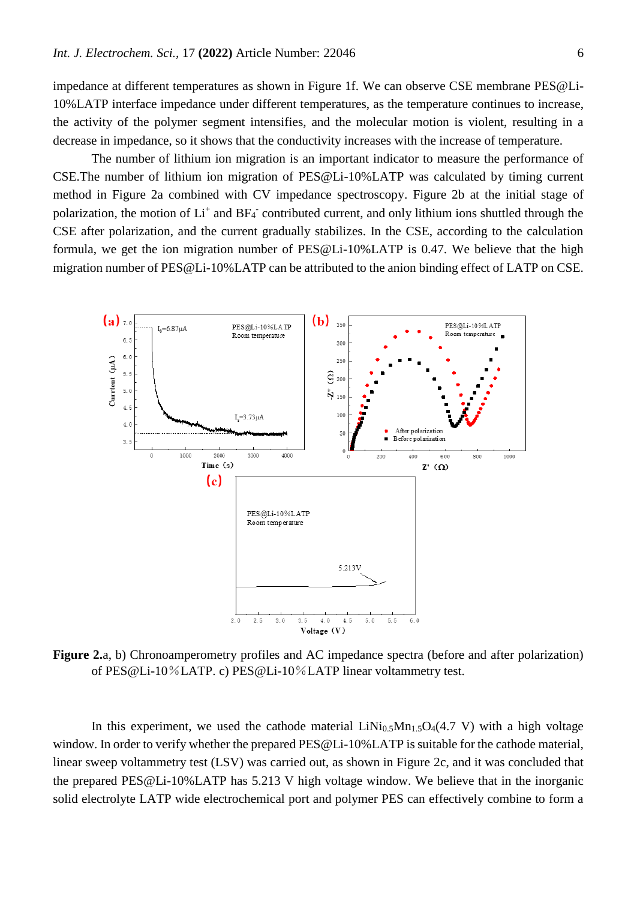impedance at different temperatures as shown in Figure 1f. We can observe CSE membrane PES@Li-10%LATP interface impedance under different temperatures, as the temperature continues to increase, the activity of the polymer segment intensifies, and the molecular motion is violent, resulting in a decrease in impedance, so it shows that the conductivity increases with the increase of temperature.

The number of lithium ion migration is an important indicator to measure the performance of CSE.The number of lithium ion migration of PES@Li-10%LATP was calculated by timing current method in Figure 2a combined with CV impedance spectroscopy. Figure 2b at the initial stage of polarization, the motion of Li<sup>+</sup> and BF<sub>4</sub><sup>-</sup> contributed current, and only lithium ions shuttled through the CSE after polarization, and the current gradually stabilizes. In the CSE, according to the calculation formula, we get the ion migration number of PES@Li-10%LATP is 0.47. We believe that the high migration number of PES@Li-10%LATP can be attributed to the anion binding effect of LATP on CSE.



**Figure 2.**a, b) Chronoamperometry profiles and AC impedance spectra (before and after polarization) of PES@Li-10%LATP. c) PES@Li-10%LATP linear voltammetry test.

In this experiment, we used the cathode material  $LiNi<sub>0.5</sub>Mn<sub>1.5</sub>O<sub>4</sub>(4.7 V)$  with a high voltage window. In order to verify whether the prepared PES@Li-10%LATP is suitable for the cathode material, linear sweep voltammetry test (LSV) was carried out, as shown in Figure 2c, and it was concluded that the prepared PES@Li-10%LATP has 5.213 V high voltage window. We believe that in the inorganic solid electrolyte LATP wide electrochemical port and polymer PES can effectively combine to form a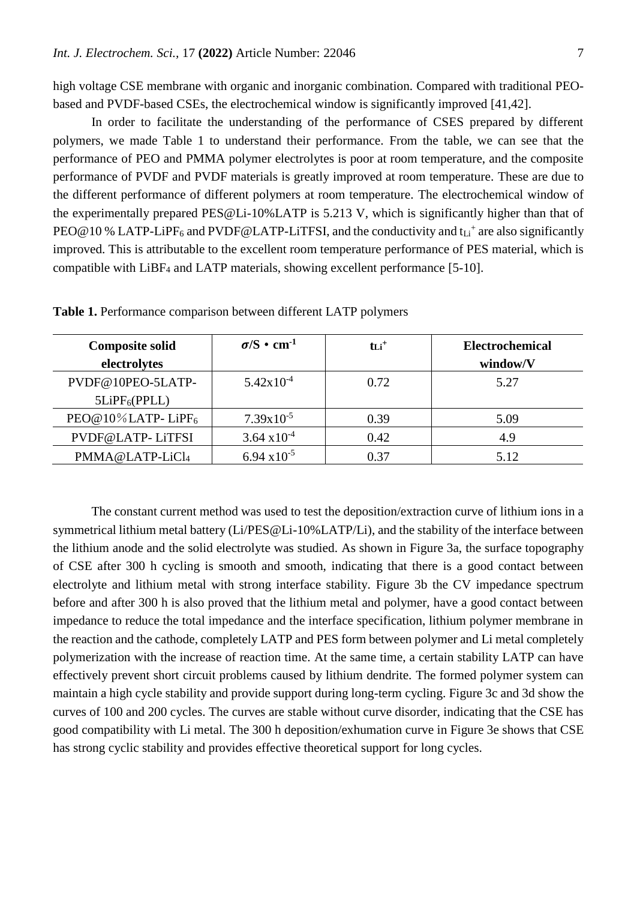high voltage CSE membrane with organic and inorganic combination. Compared with traditional PEObased and PVDF-based CSEs, the electrochemical window is significantly improved [41,42].

In order to facilitate the understanding of the performance of CSES prepared by different polymers, we made Table 1 to understand their performance. From the table, we can see that the performance of PEO and PMMA polymer electrolytes is poor at room temperature, and the composite performance of PVDF and PVDF materials is greatly improved at room temperature. These are due to the different performance of different polymers at room temperature. The electrochemical window of the experimentally prepared PES@Li-10%LATP is 5.213 V, which is significantly higher than that of PEO@10% LATP-LiPF<sub>6</sub> and PVDF@LATP-LiTFSI, and the conductivity and  $t_{Li}$ <sup>+</sup> are also significantly improved. This is attributable to the excellent room temperature performance of PES material, which is compatible with LiBF<sup>4</sup> and LATP materials, showing excellent performance [5-10].

| <b>Composite solid</b>    | $\sigma/S \cdot \text{cm}^{-1}$ | $\mathbf{t}$ Li <sup>+</sup> | Electrochemical |
|---------------------------|---------------------------------|------------------------------|-----------------|
| electrolytes              |                                 |                              | window/V        |
| PVDF@10PEO-5LATP-         | $5.42 \times 10^{-4}$           | 0.72                         | 5.27            |
| 5LiPF <sub>6</sub> (PPLL) |                                 |                              |                 |
| PEO@10%LATP-LiPF6         | $7.39x10^{-5}$                  | 0.39                         | 5.09            |
| PVDF@LATP-LiTFSI          | $3.64 \times 10^{-4}$           | 0.42                         | 4.9             |
| PMMA@LATP-LiCl4           | $6.94 \times 10^{-5}$           | 0.37                         | 5.12            |

**Table 1.** Performance comparison between different LATP polymers

The constant current method was used to test the deposition/extraction curve of lithium ions in a symmetrical lithium metal battery (Li/PES@Li-10%LATP/Li), and the stability of the interface between the lithium anode and the solid electrolyte was studied. As shown in Figure 3a, the surface topography of CSE after 300 h cycling is smooth and smooth, indicating that there is a good contact between electrolyte and lithium metal with strong interface stability. Figure 3b the CV impedance spectrum before and after 300 h is also proved that the lithium metal and polymer, have a good contact between impedance to reduce the total impedance and the interface specification, lithium polymer membrane in the reaction and the cathode, completely LATP and PES form between polymer and Li metal completely polymerization with the increase of reaction time. At the same time, a certain stability LATP can have effectively prevent short circuit problems caused by lithium dendrite. The formed polymer system can maintain a high cycle stability and provide support during long-term cycling. Figure 3c and 3d show the curves of 100 and 200 cycles. The curves are stable without curve disorder, indicating that the CSE has good compatibility with Li metal. The 300 h deposition/exhumation curve in Figure 3e shows that CSE has strong cyclic stability and provides effective theoretical support for long cycles.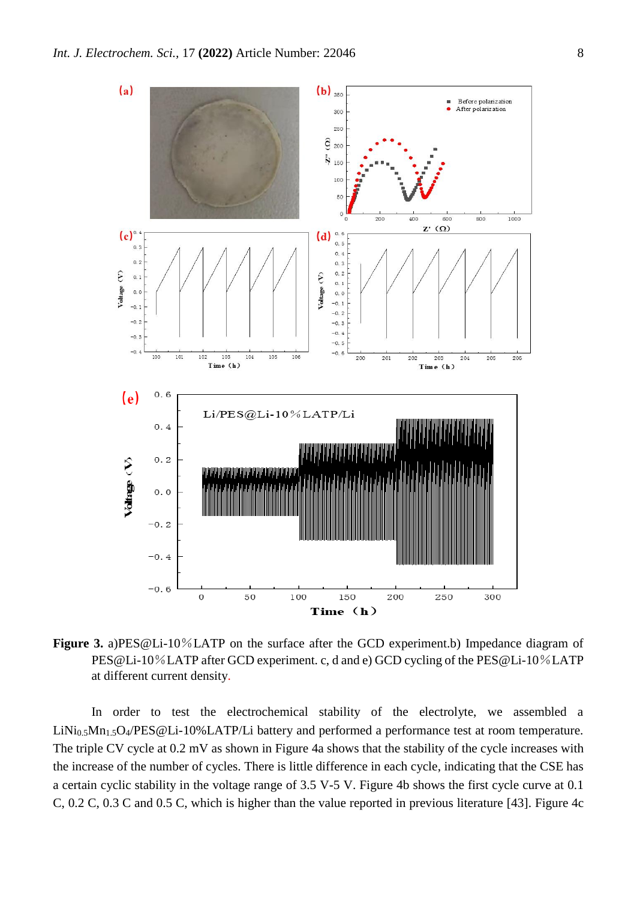

**Figure 3.** a)PES@Li-10%LATP on the surface after the GCD experiment.b) Impedance diagram of PES@Li-10%LATP after GCD experiment. c, d and e) GCD cycling of the PES@Li-10%LATP at different current density.

In order to test the electrochemical stability of the electrolyte, we assembled a LiNi<sub>0.5</sub>Mn<sub>1.5</sub>O<sub>4</sub>/PES@Li-10%LATP/Li battery and performed a performance test at room temperature. The triple CV cycle at 0.2 mV as shown in Figure 4a shows that the stability of the cycle increases with the increase of the number of cycles. There is little difference in each cycle, indicating that the CSE has a certain cyclic stability in the voltage range of 3.5 V-5 V. Figure 4b shows the first cycle curve at 0.1 C, 0.2 C, 0.3 C and 0.5 C, which is higher than the value reported in previous literature [43]. Figure 4c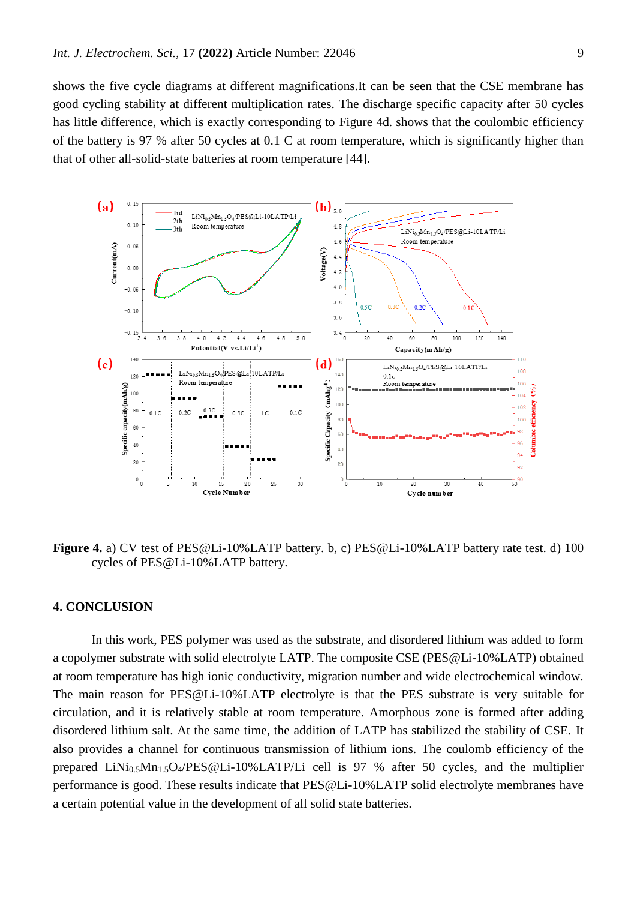shows the five cycle diagrams at different magnifications.It can be seen that the CSE membrane has good cycling stability at different multiplication rates. The discharge specific capacity after 50 cycles has little difference, which is exactly corresponding to Figure 4d. shows that the coulombic efficiency of the battery is 97 % after 50 cycles at 0.1 C at room temperature, which is significantly higher than that of other all-solid-state batteries at room temperature [44].



**Figure 4.** a) CV test of PES@Li-10%LATP battery. b, c) PES@Li-10%LATP battery rate test. d) 100 cycles of PES@Li-10%LATP battery.

## **4. CONCLUSION**

In this work, PES polymer was used as the substrate, and disordered lithium was added to form a copolymer substrate with solid electrolyte LATP. The composite CSE (PES@Li-10%LATP) obtained at room temperature has high ionic conductivity, migration number and wide electrochemical window. The main reason for PES@Li-10%LATP electrolyte is that the PES substrate is very suitable for circulation, and it is relatively stable at room temperature. Amorphous zone is formed after adding disordered lithium salt. At the same time, the addition of LATP has stabilized the stability of CSE. It also provides a channel for continuous transmission of lithium ions. The coulomb efficiency of the prepared LiNi0.5Mn1.5O4/PES@Li-10%LATP/Li cell is 97 % after 50 cycles, and the multiplier performance is good. These results indicate that PES@Li-10%LATP solid electrolyte membranes have a certain potential value in the development of all solid state batteries.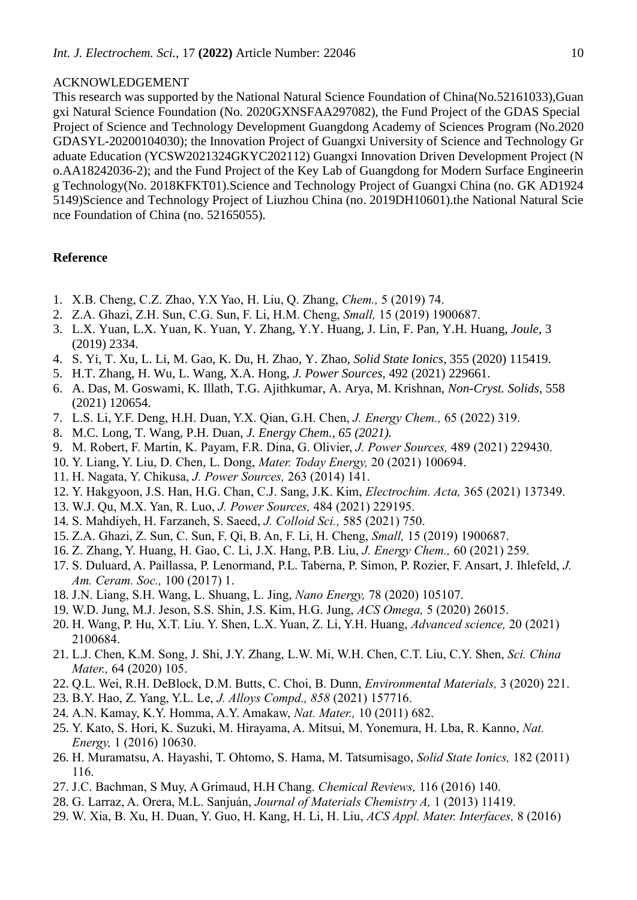## ACKNOWLEDGEMENT

This research was supported by the National Natural Science Foundation of China(No.52161033),Guan gxi Natural Science Foundation (No. 2020GXNSFAA297082), the Fund Project of the GDAS Special Project of Science and Technology Development Guangdong Academy of Sciences Program (No.2020 GDASYL-20200104030); the Innovation Project of Guangxi University of Science and Technology Gr aduate Education (YCSW2021324GKYC202112) Guangxi Innovation Driven Development Project (N o.AA18242036-2); and the Fund Project of the Key Lab of Guangdong for Modern Surface Engineerin g Technology(No. 2018KFKT01).Science and Technology Project of Guangxi China (no. GK AD1924 5149)Science and Technology Project of Liuzhou China (no. 2019DH10601).the National Natural Scie nce Foundation of China (no. 52165055).

## **Reference**

- 1. X.B. Cheng, C.Z. Zhao, Y.X Yao, H. Liu, Q. Zhang, *Chem.,* 5 (2019) 74.
- 2. Z.A. Ghazi, Z.H. Sun, C.G. Sun, F. Li, H.M. Cheng, *Small,* 15 (2019) 1900687.
- 3. L.X. Yuan, L.X. Yuan, K. Yuan, Y. Zhang, Y.Y. Huang, J. Lin, F. Pan, Y.H. Huang, *Joule,* 3 (2019) 2334.
- 4. S. Yi, T. Xu, L. Li, M. Gao, K. Du, H. Zhao, Y. Zhao, *Solid State Ionics,* 355 (2020) 115419.
- 5. H.T. Zhang, H. Wu, L. Wang, X.A. Hong, *J. Power Sources,* 492 (2021) 229661.
- 6. A. Das, M. Goswami, K. Illath, T.G. Ajithkumar, A. Arya, M. Krishnan, *Non-Cryst. Solids,* 558 (2021) 120654.
- 7. L.S. Li, Y.F. Deng, H.H. Duan, Y.X. Qian, G.H. Chen, *J. Energy Chem.,* 65 (2022) 319.
- 8. M.C. Long, T. Wang, P.H. Duan, *J. Energy Chem., 65 (2021).*
- 9. M. Robert, F. Martin, K. Payam, F.R. Dina, G. Olivier, *J. Power Sources,* 489 (2021) 229430.
- 10. Y. Liang, Y. Liu, D. Chen, L. Dong, *Mater. Today Energy,* 20 (2021) 100694.
- 11. H. Nagata, Y. Chikusa, *J. Power Sources,* 263 (2014) 141.
- 12. Y. Hakgyoon, J.S. Han, H.G. Chan, C.J. Sang, J.K. Kim, *Electrochim. Acta,* 365 (2021) 137349.
- 13. W.J. Qu, M.X. Yan, R. Luo, *J. Power Sources,* 484 (2021) 229195.
- 14. S. Mahdiyeh, H. Farzaneh, S. Saeed, *J. Colloid Sci.,* 585 (2021) 750.
- 15. Z.A. Ghazi, Z. Sun, C. Sun, F. Qi, B. An, F. Li, H. Cheng, *Small,* 15 (2019) 1900687.
- 16. Z. Zhang, Y. Huang, H. Gao, C. Li, J.X. Hang, P.B. Liu, *J. Energy Chem.,* 60 (2021) 259.
- 17. S. Duluard, A. Paillassa, P. Lenormand, P.L. Taberna, P. Simon, P. Rozier, F. Ansart, J. Ihlefeld, *J. Am. Ceram. Soc.,* 100 (2017) 1.
- 18. J.N. Liang, S.H. Wang, L. Shuang, L. Jing, *Nano Energy,* 78 (2020) 105107.
- 19. W.D. Jung, M.J. Jeson, S.S. Shin, J.S. Kim, H.G. Jung, *ACS Omega,* 5 (2020) 26015.
- 20. H. Wang, P. Hu, X.T. Liu. Y. Shen, L.X. Yuan, Z. Li, Y.H. Huang, *Advanced science,* 20 (2021) 2100684.
- 21. L.J. Chen, K.M. Song, J. Shi, J.Y. Zhang, L.W. Mi, W.H. Chen, C.T. Liu, C.Y. Shen, *Sci. China Mater.,* 64 (2020) 105.
- 22. Q.L. Wei, R.H. DeBlock, D.M. Butts, C. Choi, B. Dunn, *Environmental Materials,* 3 (2020) 221.
- 23. B.Y. Hao, Z. Yang, Y.L. Le, *J. Alloys Compd., 858* (2021) 157716.
- 24. A.N. Kamay, K.Y. Homma, A.Y. Amakaw, *Nat. Mater.,* 10 (2011) 682.
- 25. Y. Kato, S. Hori, K. Suzuki, M. Hirayama, A. Mitsui, M. Yonemura, H. Lba, R. Kanno, *Nat. Energy,* 1 (2016) 10630.
- 26. H. Muramatsu, A. Hayashi, T. Ohtomo, S. Hama, M. Tatsumisago, *Solid State Ionics,* 182 (2011) 116.
- 27. J.C. Bachman, S Muy, A Grimaud, H.H Chang. *Chemical Reviews,* 116 (2016) 140.
- 28. G. Larraz, A. Orera, M.L. Sanjuán, *Journal of Materials Chemistry A,* 1 (2013) 11419.
- 29. W. Xia, B. Xu, H. Duan, Y. Guo, H. Kang, H. Li, H. Liu, *ACS Appl. Mater. Interfaces,* 8 (2016)